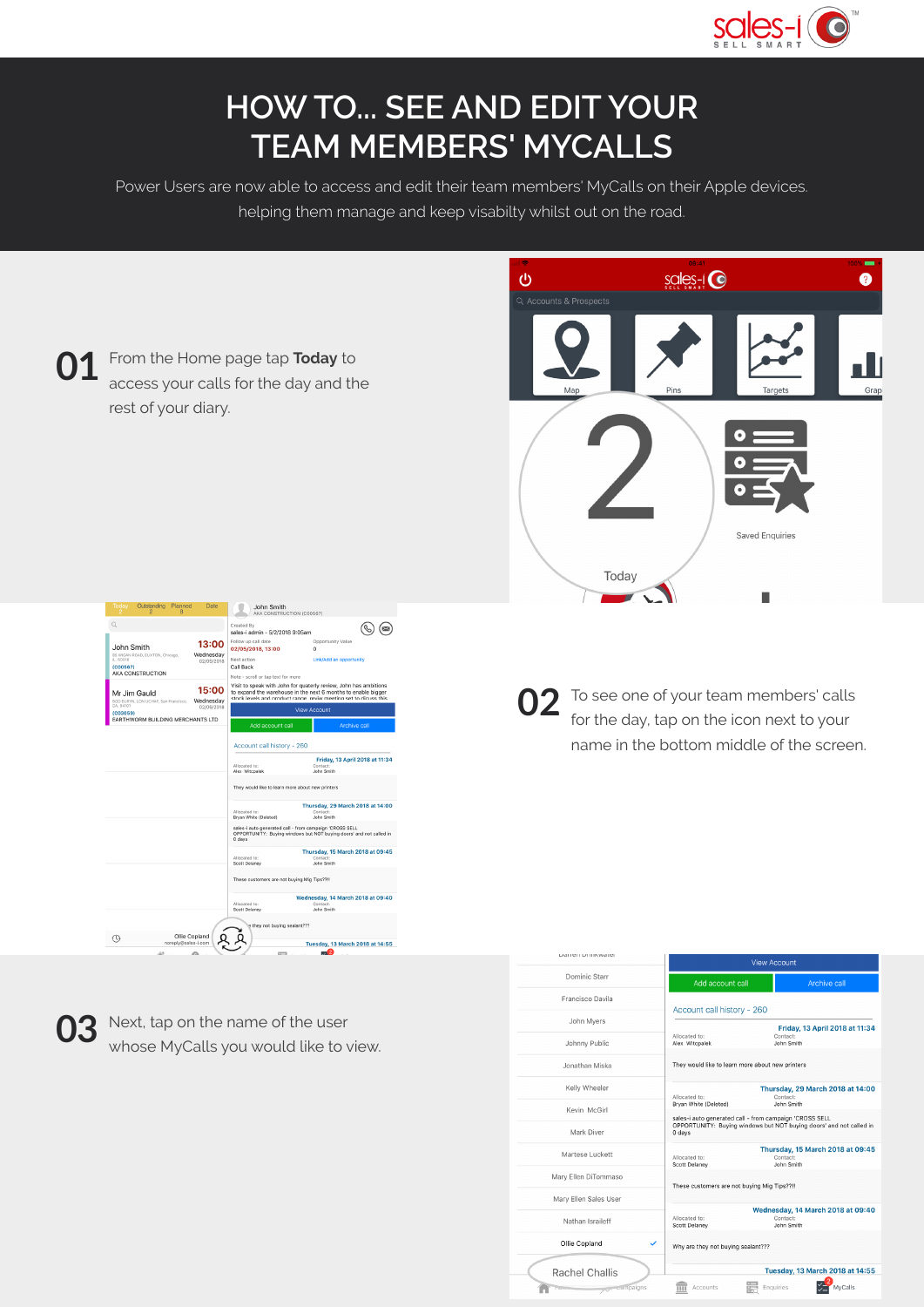

These customers are not buying Mig Tips??!!

Why are they not buying sealant???

Allocated to:<br>Scott Delaney

 $\frac{1}{\sqrt{10}}$  Accounts

Wednesday, 14 March 2018 at 09:40 Contact:<br>John Smith

Tuesday, 13 March 2018 at 14:55

 $\frac{2}{\sqrt{2}}$  MyCalls

Enquiries

Mary Ellen Sales Use

Nathan Israileff

Ollie Copland

Rachel Challis

Æ

## **HOW TO... SEE AND EDIT YOUR TEAM MEMBERS' MYCALLS**

Power Users are now able to access and edit their team members' MyCalls on their Apple devices. helping them manage and keep visabilty whilst out on the road.